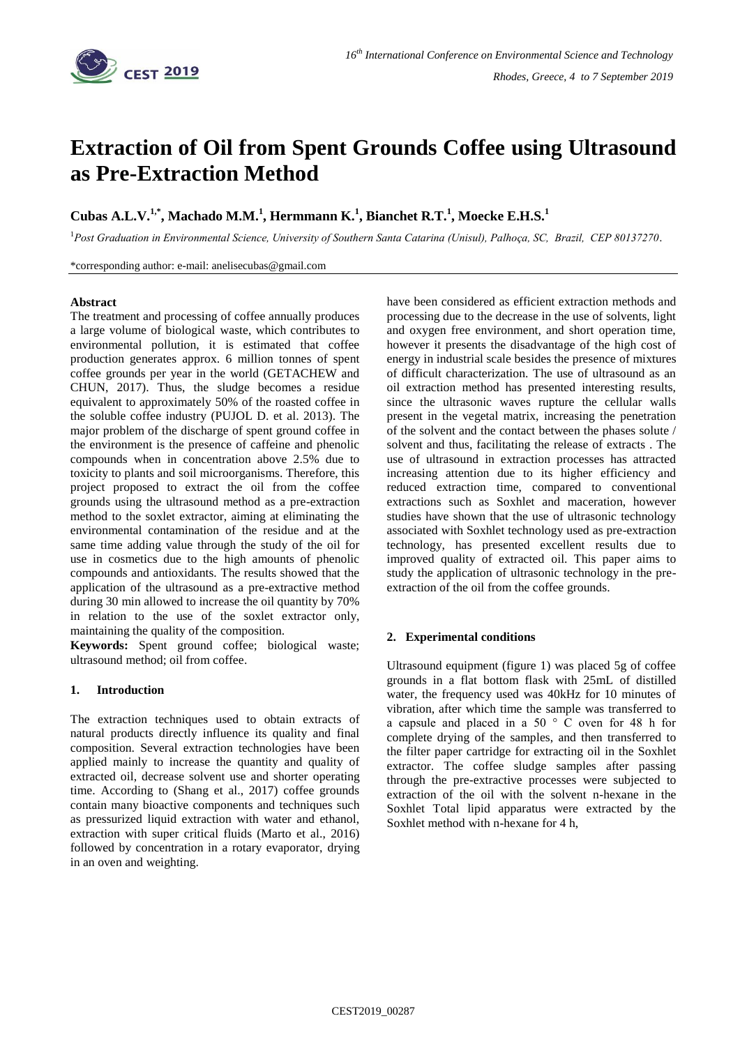

# **Extraction of Oil from Spent Grounds Coffee using Ultrasound as Pre-Extraction Method**

# **Cubas A.L.V.1,\* , Machado M.M.<sup>1</sup> , Hermmann K.<sup>1</sup> , Bianchet R.T.<sup>1</sup> , Moecke E.H.S.<sup>1</sup>**

<sup>1</sup>*Post Graduation in Environmental Science, University of Southern Santa Catarina (Unisul), Palhoça, SC, Brazil, CEP 80137270.*

\*corresponding author: e-mail: anelisecubas@gmail.com

#### **Abstract**

The treatment and processing of coffee annually produces a large volume of biological waste, which contributes to environmental pollution, it is estimated that coffee production generates approx. 6 million tonnes of spent coffee grounds per year in the world (GETACHEW and CHUN, 2017). Thus, the sludge becomes a residue equivalent to approximately 50% of the roasted coffee in the soluble coffee industry (PUJOL D. et al. 2013). The major problem of the discharge of spent ground coffee in the environment is the presence of caffeine and phenolic compounds when in concentration above 2.5% due to toxicity to plants and soil microorganisms. Therefore, this project proposed to extract the oil from the coffee grounds using the ultrasound method as a pre-extraction method to the soxlet extractor, aiming at eliminating the environmental contamination of the residue and at the same time adding value through the study of the oil for use in cosmetics due to the high amounts of phenolic compounds and antioxidants. The results showed that the application of the ultrasound as a pre-extractive method during 30 min allowed to increase the oil quantity by 70% in relation to the use of the soxlet extractor only, maintaining the quality of the composition.

**Keywords:** Spent ground coffee; biological waste; ultrasound method; oil from coffee.

# **1. Introduction**

The extraction techniques used to obtain extracts of natural products directly influence its quality and final composition. Several extraction technologies have been applied mainly to increase the quantity and quality of extracted oil, decrease solvent use and shorter operating time. According to (Shang et al., 2017) coffee grounds contain many bioactive components and techniques such as pressurized liquid extraction with water and ethanol, extraction with super critical fluids (Marto et al., 2016) followed by concentration in a rotary evaporator, drying in an oven and weighting.

have been considered as efficient extraction methods and processing due to the decrease in the use of solvents, light and oxygen free environment, and short operation time, however it presents the disadvantage of the high cost of energy in industrial scale besides the presence of mixtures of difficult characterization. The use of ultrasound as an oil extraction method has presented interesting results, since the ultrasonic waves rupture the cellular walls present in the vegetal matrix, increasing the penetration of the solvent and the contact between the phases solute / solvent and thus, facilitating the release of extracts . The use of ultrasound in extraction processes has attracted increasing attention due to its higher efficiency and reduced extraction time, compared to conventional extractions such as Soxhlet and maceration, however studies have shown that the use of ultrasonic technology associated with Soxhlet technology used as pre-extraction technology, has presented excellent results due to improved quality of extracted oil. This paper aims to study the application of ultrasonic technology in the preextraction of the oil from the coffee grounds.

## **2. Experimental conditions**

Ultrasound equipment (figure 1) was placed 5g of coffee grounds in a flat bottom flask with 25mL of distilled water, the frequency used was 40kHz for 10 minutes of vibration, after which time the sample was transferred to a capsule and placed in a 50 ° C oven for 48 h for complete drying of the samples, and then transferred to the filter paper cartridge for extracting oil in the Soxhlet extractor. The coffee sludge samples after passing through the pre-extractive processes were subjected to extraction of the oil with the solvent n-hexane in the Soxhlet Total lipid apparatus were extracted by the Soxhlet method with n-hexane for 4 h,